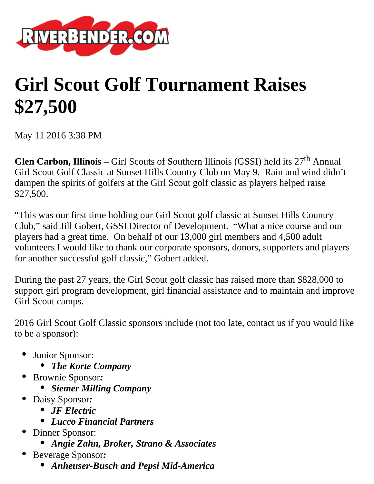

## **Girl Scout Golf Tournament Raises \$27,500**

May 11 2016 3:38 PM

**Glen Carbon, Illinois** – Girl Scouts of Southern Illinois (GSSI) held its 27<sup>th</sup> Annual Girl Scout Golf Classic at Sunset Hills Country Club on May 9. Rain and wind didn't dampen the spirits of golfers at the Girl Scout golf classic as players helped raise \$27,500.

"This was our first time holding our Girl Scout golf classic at Sunset Hills Country Club," said Jill Gobert, GSSI Director of Development. "What a nice course and our players had a great time. On behalf of our 13,000 girl members and 4,500 adult volunteers I would like to thank our corporate sponsors, donors, supporters and players for another successful golf classic," Gobert added.

During the past 27 years, the Girl Scout golf classic has raised more than \$828,000 to support girl program development, girl financial assistance and to maintain and improve Girl Scout camps.

2016 Girl Scout Golf Classic sponsors include (not too late, contact us if you would like to be a sponsor):

- Junior Sponsor:
	- *The Korte Company*
- Brownie Sponsor*:*
	- *Siemer Milling Company*
- Daisy Sponsor*:*
	- *JF Electric*
	- *Lucco Financial Partners*
- Dinner Sponsor:
	- *Angie Zahn, Broker, Strano & Associates*
- Beverage Sponsor*:*
	- *Anheuser-Busch and Pepsi Mid-America*